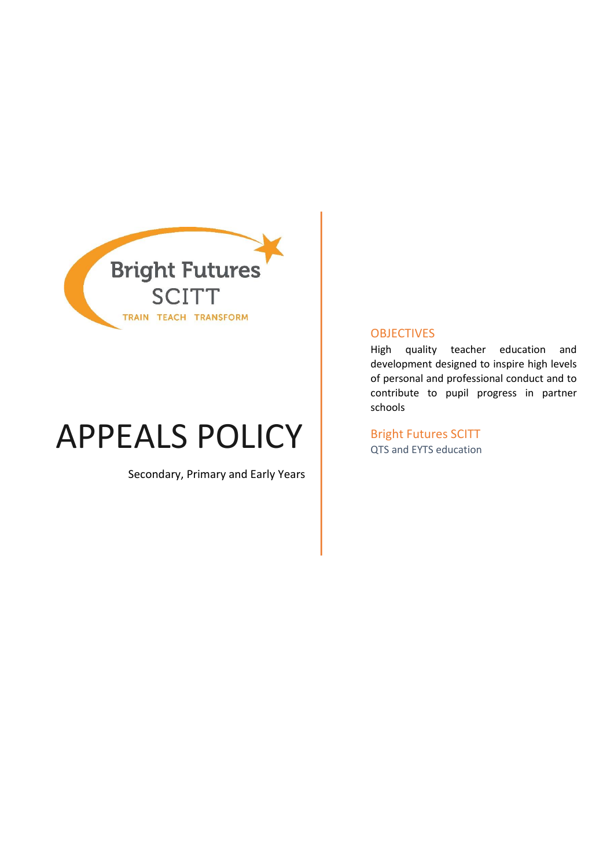

# APPEALS POLICY **Bright Futures SCITT**

Secondary, Primary and Early Years

#### **OBJECTIVES**

High quality teacher education and development designed to inspire high levels of personal and professional conduct and to contribute to pupil progress in partner schools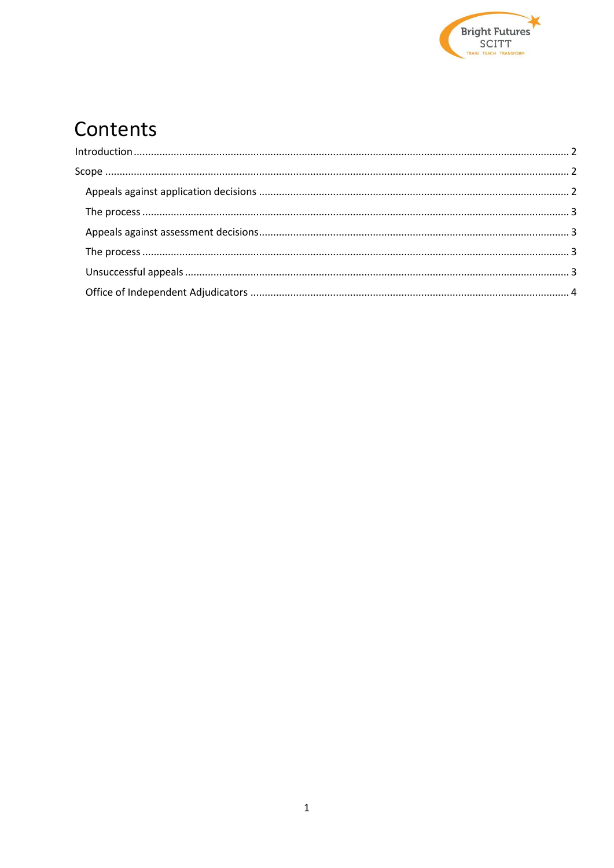

# Contents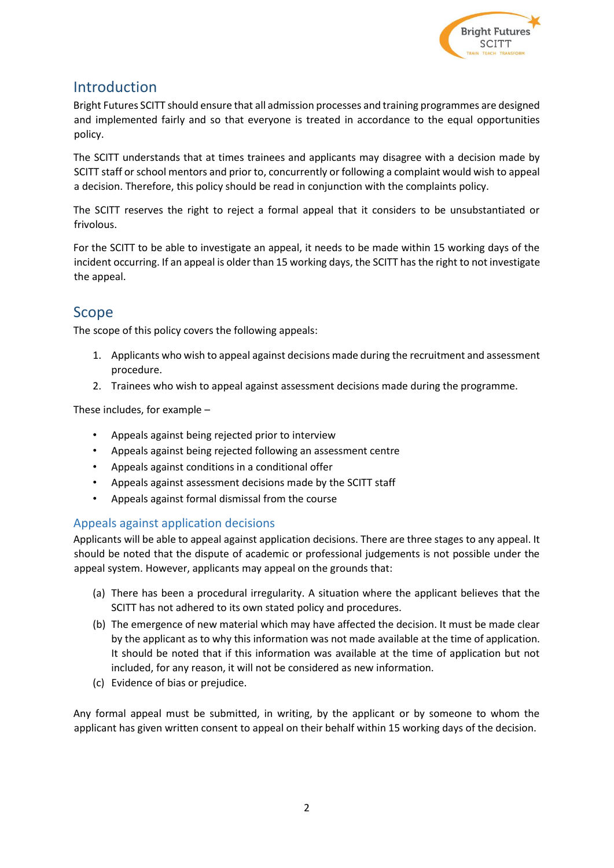

## <span id="page-2-0"></span>Introduction

Bright Futures SCITT should ensure that all admission processes and training programmes are designed and implemented fairly and so that everyone is treated in accordance to the equal opportunities policy.

The SCITT understands that at times trainees and applicants may disagree with a decision made by SCITT staff or school mentors and prior to, concurrently or following a complaint would wish to appeal a decision. Therefore, this policy should be read in conjunction with the complaints policy.

The SCITT reserves the right to reject a formal appeal that it considers to be unsubstantiated or frivolous.

For the SCITT to be able to investigate an appeal, it needs to be made within 15 working days of the incident occurring. If an appeal is older than 15 working days, the SCITT has the right to not investigate the appeal.

### <span id="page-2-1"></span>Scope

The scope of this policy covers the following appeals:

- 1. Applicants who wish to appeal against decisions made during the recruitment and assessment procedure.
- 2. Trainees who wish to appeal against assessment decisions made during the programme.

These includes, for example –

- Appeals against being rejected prior to interview
- Appeals against being rejected following an assessment centre
- Appeals against conditions in a conditional offer
- Appeals against assessment decisions made by the SCITT staff
- Appeals against formal dismissal from the course

#### <span id="page-2-2"></span>Appeals against application decisions

Applicants will be able to appeal against application decisions. There are three stages to any appeal. It should be noted that the dispute of academic or professional judgements is not possible under the appeal system. However, applicants may appeal on the grounds that:

- (a) There has been a procedural irregularity. A situation where the applicant believes that the SCITT has not adhered to its own stated policy and procedures.
- (b) The emergence of new material which may have affected the decision. It must be made clear by the applicant as to why this information was not made available at the time of application. It should be noted that if this information was available at the time of application but not included, for any reason, it will not be considered as new information.
- (c) Evidence of bias or prejudice.

<span id="page-2-3"></span>Any formal appeal must be submitted, in writing, by the applicant or by someone to whom the applicant has given written consent to appeal on their behalf within 15 working days of the decision.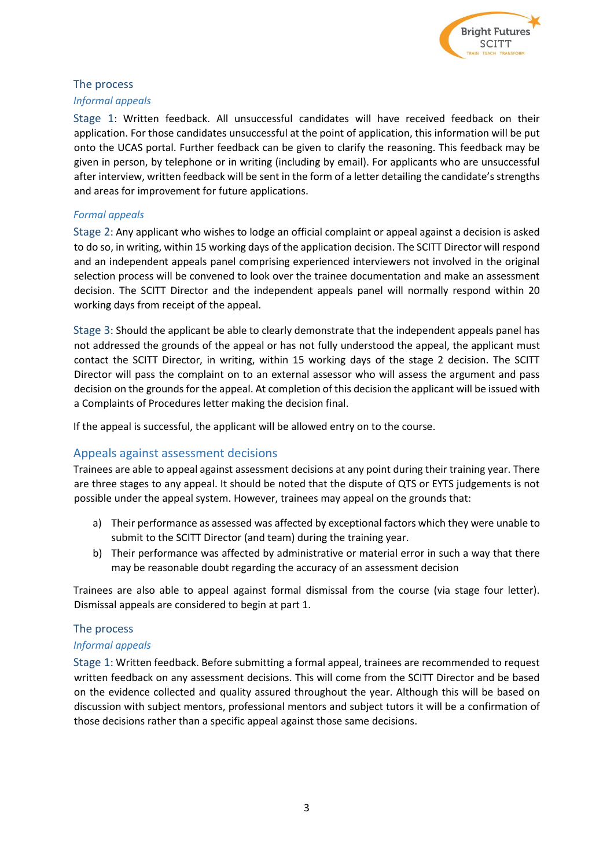

#### The process

#### *Informal appeals*

Stage 1: Written feedback. All unsuccessful candidates will have received feedback on their application. For those candidates unsuccessful at the point of application, this information will be put onto the UCAS portal. Further feedback can be given to clarify the reasoning. This feedback may be given in person, by telephone or in writing (including by email). For applicants who are unsuccessful after interview, written feedback will be sent in the form of a letter detailing the candidate's strengths and areas for improvement for future applications.

#### *Formal appeals*

Stage 2: Any applicant who wishes to lodge an official complaint or appeal against a decision is asked to do so, in writing, within 15 working days of the application decision. The SCITT Director will respond and an independent appeals panel comprising experienced interviewers not involved in the original selection process will be convened to look over the trainee documentation and make an assessment decision. The SCITT Director and the independent appeals panel will normally respond within 20 working days from receipt of the appeal.

Stage 3: Should the applicant be able to clearly demonstrate that the independent appeals panel has not addressed the grounds of the appeal or has not fully understood the appeal, the applicant must contact the SCITT Director, in writing, within 15 working days of the stage 2 decision. The SCITT Director will pass the complaint on to an external assessor who will assess the argument and pass decision on the grounds for the appeal. At completion of this decision the applicant will be issued with a Complaints of Procedures letter making the decision final.

If the appeal is successful, the applicant will be allowed entry on to the course.

#### <span id="page-3-0"></span>Appeals against assessment decisions

Trainees are able to appeal against assessment decisions at any point during their training year. There are three stages to any appeal. It should be noted that the dispute of QTS or EYTS judgements is not possible under the appeal system. However, trainees may appeal on the grounds that:

- a) Their performance as assessed was affected by exceptional factors which they were unable to submit to the SCITT Director (and team) during the training year.
- b) Their performance was affected by administrative or material error in such a way that there may be reasonable doubt regarding the accuracy of an assessment decision

Trainees are also able to appeal against formal dismissal from the course (via stage four letter). Dismissal appeals are considered to begin at part 1.

#### <span id="page-3-1"></span>The process

#### <span id="page-3-2"></span>*Informal appeals*

Stage 1: Written feedback. Before submitting a formal appeal, trainees are recommended to request written feedback on any assessment decisions. This will come from the SCITT Director and be based on the evidence collected and quality assured throughout the year. Although this will be based on discussion with subject mentors, professional mentors and subject tutors it will be a confirmation of those decisions rather than a specific appeal against those same decisions.